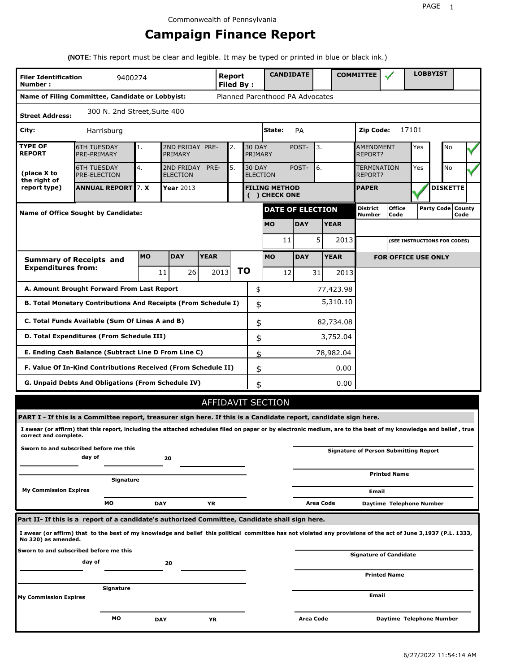# **Campaign Finance Report**

**(NOTE:** This report must be clear and legible. It may be typed or printed in blue or black ink.)

| <b>Filer Identification</b><br>Number: | 9400274                                                                                                                                                         |            |                               |                                        | Report<br><b>Filed By:</b> |    |                                  | <b>CANDIDATE</b>                      |             |                  |                             | <b>COMMITTEE</b>          |                                              |     | <b>LOBBYIST</b> |                             |  |
|----------------------------------------|-----------------------------------------------------------------------------------------------------------------------------------------------------------------|------------|-------------------------------|----------------------------------------|----------------------------|----|----------------------------------|---------------------------------------|-------------|------------------|-----------------------------|---------------------------|----------------------------------------------|-----|-----------------|-----------------------------|--|
|                                        | Name of Filing Committee, Candidate or Lobbyist:                                                                                                                |            |                               |                                        |                            |    |                                  | Planned Parenthood PA Advocates       |             |                  |                             |                           |                                              |     |                 |                             |  |
| <b>Street Address:</b>                 | 300 N. 2nd Street, Suite 400                                                                                                                                    |            |                               |                                        |                            |    |                                  |                                       |             |                  |                             |                           |                                              |     |                 |                             |  |
| City:                                  | Harrisburg                                                                                                                                                      |            |                               |                                        |                            |    | State:<br>PA                     |                                       |             |                  |                             | 17101<br>Zip Code:        |                                              |     |                 |                             |  |
| <b>TYPE OF</b><br><b>REPORT</b>        | <b>6TH TUESDAY</b><br>PRE-PRIMARY                                                                                                                               | 1.         | PRIMARY                       | 2ND FRIDAY PRE-<br><b>30 DAY</b><br>2. |                            |    |                                  | PRIMARY                               | POST-<br>3. |                  | <b>AMENDMENT</b><br>REPORT? |                           | Yes                                          |     | No              |                             |  |
| (place X to<br>the right of            | <b>6TH TUESDAY</b><br>PRE-ELECTION                                                                                                                              | 4.         | 2ND FRIDAY<br><b>ELECTION</b> | PRE-                                   | 5.                         |    | <b>30 DAY</b><br><b>ELECTION</b> |                                       | POST-       | 6.               |                             | TERMINATION<br>REPORT?    |                                              | Yes |                 | No                          |  |
| report type)                           | <b>ANNUAL REPORT</b> 7. X                                                                                                                                       |            | Year 2013                     |                                        |                            |    |                                  | <b>FILING METHOD</b><br>( ) CHECK ONE |             |                  |                             | <b>PAPER</b>              |                                              |     |                 | <b>DISKETTE</b>             |  |
|                                        | <b>Name of Office Sought by Candidate:</b>                                                                                                                      |            |                               |                                        |                            |    |                                  | <b>DATE OF ELECTION</b>               |             |                  |                             | <b>District</b><br>Number | <b>Office</b><br>Code                        |     |                 | Party Code   County<br>Code |  |
|                                        |                                                                                                                                                                 |            |                               |                                        |                            |    |                                  | <b>MO</b>                             | <b>DAY</b>  |                  | <b>YEAR</b>                 |                           |                                              |     |                 |                             |  |
|                                        |                                                                                                                                                                 |            |                               |                                        |                            |    |                                  | 11                                    |             | 5                | 2013                        |                           | (SEE INSTRUCTIONS FOR CODES)                 |     |                 |                             |  |
|                                        | <b>Summary of Receipts and</b>                                                                                                                                  | <b>MO</b>  | <b>DAY</b>                    | <b>YEAR</b>                            |                            |    |                                  | <b>MO</b>                             | <b>DAY</b>  |                  | <b>YEAR</b>                 |                           | <b>FOR OFFICE USE ONLY</b>                   |     |                 |                             |  |
| <b>Expenditures from:</b>              |                                                                                                                                                                 |            | 26<br>11                      |                                        | 2013                       | ΤO |                                  | 12                                    |             | 31               | 2013                        |                           |                                              |     |                 |                             |  |
|                                        | A. Amount Brought Forward From Last Report                                                                                                                      |            |                               |                                        |                            |    | \$                               |                                       |             |                  | 77,423.98                   |                           |                                              |     |                 |                             |  |
|                                        | B. Total Monetary Contributions And Receipts (From Schedule I)                                                                                                  |            |                               |                                        |                            |    | \$                               |                                       |             |                  | 5,310.10                    |                           |                                              |     |                 |                             |  |
|                                        | C. Total Funds Available (Sum Of Lines A and B)                                                                                                                 |            |                               |                                        |                            |    | \$                               |                                       |             |                  | 82,734.08                   |                           |                                              |     |                 |                             |  |
|                                        | D. Total Expenditures (From Schedule III)                                                                                                                       |            |                               |                                        |                            |    | \$                               |                                       |             |                  | 3,752.04                    |                           |                                              |     |                 |                             |  |
|                                        | E. Ending Cash Balance (Subtract Line D From Line C)                                                                                                            |            |                               |                                        |                            |    | \$                               |                                       |             |                  | 78,982.04                   |                           |                                              |     |                 |                             |  |
|                                        | F. Value Of In-Kind Contributions Received (From Schedule II)                                                                                                   |            |                               |                                        |                            |    | \$                               |                                       |             |                  | 0.00                        |                           |                                              |     |                 |                             |  |
|                                        | <b>G. Unpaid Debts And Obligations (From Schedule IV)</b>                                                                                                       |            |                               |                                        |                            |    | \$                               |                                       |             |                  | 0.00                        |                           |                                              |     |                 |                             |  |
|                                        |                                                                                                                                                                 |            |                               |                                        | <b>AFFIDAVIT SECTION</b>   |    |                                  |                                       |             |                  |                             |                           |                                              |     |                 |                             |  |
|                                        | PART I - If this is a Committee report, treasurer sign here. If this is a Candidate report, candidate sign here.                                                |            |                               |                                        |                            |    |                                  |                                       |             |                  |                             |                           |                                              |     |                 |                             |  |
| correct and complete.                  | I swear (or affirm) that this report, including the attached schedules filed on paper or by electronic medium, are to the best of my knowledge and belief, true |            |                               |                                        |                            |    |                                  |                                       |             |                  |                             |                           |                                              |     |                 |                             |  |
|                                        | Sworn to and subscribed before me this<br>day of                                                                                                                |            | 20                            |                                        |                            |    |                                  |                                       |             |                  |                             |                           | <b>Signature of Person Submitting Report</b> |     |                 |                             |  |
|                                        | Signature                                                                                                                                                       |            |                               |                                        |                            |    |                                  |                                       |             |                  |                             |                           | <b>Printed Name</b>                          |     |                 |                             |  |
| <b>My Commission Expires</b>           |                                                                                                                                                                 |            |                               |                                        |                            |    |                                  |                                       |             |                  |                             | Email                     |                                              |     |                 |                             |  |
|                                        | MО                                                                                                                                                              | <b>DAY</b> |                               | YR                                     |                            |    |                                  |                                       |             | <b>Area Code</b> |                             |                           | Daytime Telephone Number                     |     |                 |                             |  |
|                                        | Part II- If this is a report of a candidate's authorized Committee, Candidate shall sign here.                                                                  |            |                               |                                        |                            |    |                                  |                                       |             |                  |                             |                           |                                              |     |                 |                             |  |
| No 320) as amended.                    | I swear (or affirm) that to the best of my knowledge and belief this political committee has not violated any provisions of the act of June 3,1937 (P.L. 1333,  |            |                               |                                        |                            |    |                                  |                                       |             |                  |                             |                           |                                              |     |                 |                             |  |
|                                        | Sworn to and subscribed before me this<br>day of                                                                                                                |            | 20                            |                                        |                            |    |                                  |                                       |             |                  |                             |                           | Signature of Candidate                       |     |                 |                             |  |
|                                        |                                                                                                                                                                 |            |                               |                                        |                            |    |                                  |                                       |             |                  |                             |                           | <b>Printed Name</b>                          |     |                 |                             |  |
| <b>My Commission Expires</b>           | Signature                                                                                                                                                       |            |                               |                                        |                            |    |                                  |                                       |             |                  |                             | Email                     |                                              |     |                 |                             |  |
|                                        |                                                                                                                                                                 |            |                               |                                        |                            |    |                                  |                                       |             |                  |                             |                           |                                              |     |                 |                             |  |
|                                        | МO                                                                                                                                                              | <b>DAY</b> |                               | ΥR                                     |                            |    |                                  |                                       | Area Code   |                  |                             |                           | Daytime Telephone Number                     |     |                 |                             |  |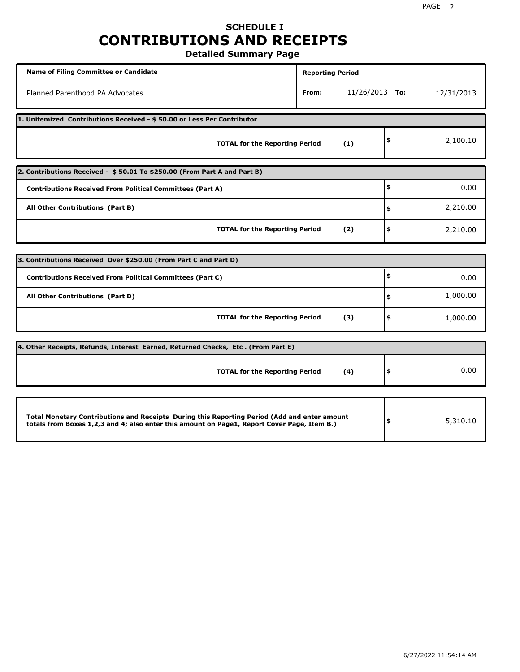# **SCHEDULE I CONTRIBUTIONS AND RECEIPTS**

**Detailed Summary Page**

| <b>Name of Filing Committee or Candidate</b>                                                                                                                                                | <b>Reporting Period</b> |                  |    |            |  |  |  |  |
|---------------------------------------------------------------------------------------------------------------------------------------------------------------------------------------------|-------------------------|------------------|----|------------|--|--|--|--|
| Planned Parenthood PA Advocates                                                                                                                                                             | From:                   | $11/26/2013$ To: |    | 12/31/2013 |  |  |  |  |
| 1. Unitemized Contributions Received - \$50.00 or Less Per Contributor                                                                                                                      |                         |                  |    |            |  |  |  |  |
| <b>TOTAL for the Reporting Period</b>                                                                                                                                                       |                         | (1)              | \$ | 2,100.10   |  |  |  |  |
| 2. Contributions Received - \$50.01 To \$250.00 (From Part A and Part B)                                                                                                                    |                         |                  |    |            |  |  |  |  |
| <b>Contributions Received From Political Committees (Part A)</b>                                                                                                                            |                         |                  | \$ | 0.00       |  |  |  |  |
| All Other Contributions (Part B)                                                                                                                                                            |                         |                  | \$ | 2,210.00   |  |  |  |  |
| <b>TOTAL for the Reporting Period</b>                                                                                                                                                       |                         | (2)              | \$ | 2,210.00   |  |  |  |  |
| 3. Contributions Received Over \$250.00 (From Part C and Part D)                                                                                                                            |                         |                  |    |            |  |  |  |  |
| <b>Contributions Received From Political Committees (Part C)</b>                                                                                                                            |                         |                  | \$ | 0.00       |  |  |  |  |
| All Other Contributions (Part D)                                                                                                                                                            |                         |                  | \$ | 1,000.00   |  |  |  |  |
|                                                                                                                                                                                             |                         |                  |    |            |  |  |  |  |
| <b>TOTAL for the Reporting Period</b>                                                                                                                                                       |                         | (3)              | \$ | 1,000.00   |  |  |  |  |
| 4. Other Receipts, Refunds, Interest Earned, Returned Checks, Etc. (From Part E)                                                                                                            |                         |                  |    |            |  |  |  |  |
| <b>TOTAL for the Reporting Period</b>                                                                                                                                                       |                         | (4)              | \$ | 0.00       |  |  |  |  |
|                                                                                                                                                                                             |                         |                  |    |            |  |  |  |  |
| Total Monetary Contributions and Receipts During this Reporting Period (Add and enter amount<br>totals from Boxes 1,2,3 and 4; also enter this amount on Page1, Report Cover Page, Item B.) |                         |                  | \$ | 5,310.10   |  |  |  |  |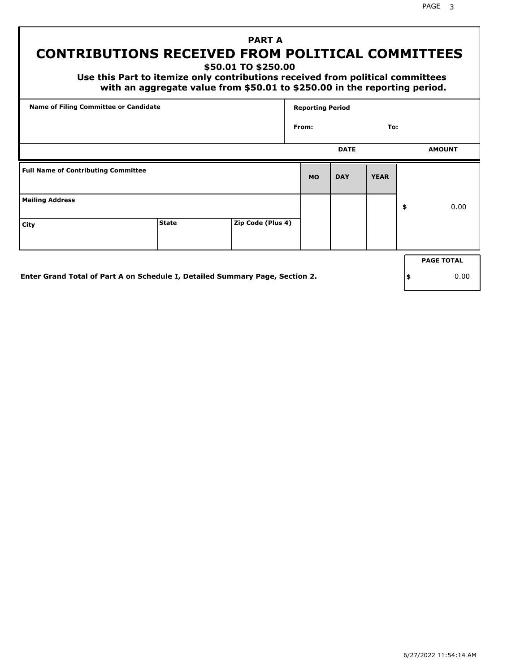# **PART A CONTRIBUTIONS RECEIVED FROM POLITICAL COMMITTEES**

**\$50.01 TO \$250.00**

 **Use this Part to itemize only contributions received from political committees with an aggregate value from \$50.01 to \$250.00 in the reporting period.**

| Name of Filing Committee or Candidate      |              |                   | <b>Reporting Period</b> |             |             |    |                   |  |
|--------------------------------------------|--------------|-------------------|-------------------------|-------------|-------------|----|-------------------|--|
|                                            |              |                   | From:                   |             | To:         |    |                   |  |
|                                            |              |                   |                         | <b>DATE</b> |             |    | <b>AMOUNT</b>     |  |
| <b>Full Name of Contributing Committee</b> |              |                   | <b>MO</b>               | <b>DAY</b>  | <b>YEAR</b> |    |                   |  |
| <b>Mailing Address</b>                     |              |                   |                         |             |             | \$ | 0.00              |  |
| City                                       | <b>State</b> | Zip Code (Plus 4) |                         |             |             |    |                   |  |
|                                            |              |                   |                         |             |             |    | <b>PAGE TOTAL</b> |  |
|                                            |              |                   |                         |             |             |    |                   |  |

**Enter Grand Total of Part A on Schedule I, Detailed Summary Page, Section 2.**

**\$** 0.00

6/27/2022 11:54:14 AM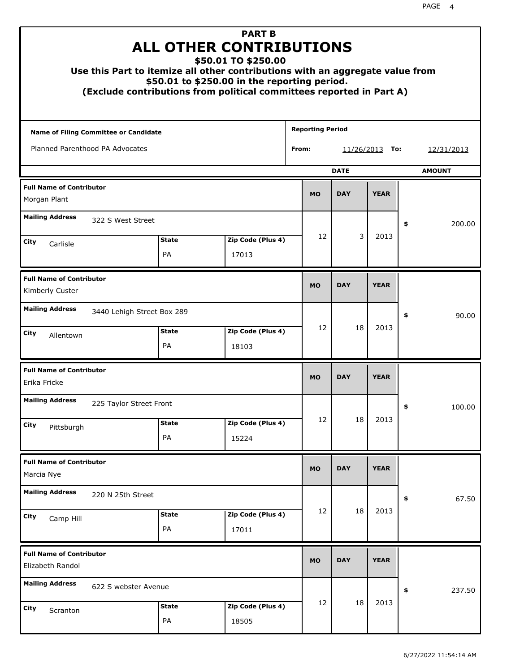|                                                     | <b>ALL OTHER CONTRIBUTIONS</b><br>Use this Part to itemize all other contributions with an aggregate value from<br>(Exclude contributions from political committees reported in Part A) | <b>PART B</b><br>\$50.01 TO \$250.00<br>\$50.01 to \$250.00 in the reporting period. |                         |                   |             |    |               |
|-----------------------------------------------------|-----------------------------------------------------------------------------------------------------------------------------------------------------------------------------------------|--------------------------------------------------------------------------------------|-------------------------|-------------------|-------------|----|---------------|
| Name of Filing Committee or Candidate               |                                                                                                                                                                                         |                                                                                      | <b>Reporting Period</b> |                   |             |    |               |
| Planned Parenthood PA Advocates                     |                                                                                                                                                                                         |                                                                                      | From:                   | <u>11/26/2013</u> | To:         |    | 12/31/2013    |
|                                                     |                                                                                                                                                                                         |                                                                                      |                         | <b>DATE</b>       |             |    | <b>AMOUNT</b> |
| <b>Full Name of Contributor</b><br>Morgan Plant     |                                                                                                                                                                                         |                                                                                      | <b>MO</b>               | <b>DAY</b>        | <b>YEAR</b> |    |               |
| <b>Mailing Address</b>                              | 322 S West Street                                                                                                                                                                       |                                                                                      |                         |                   |             | \$ | 200.00        |
| City                                                | <b>State</b>                                                                                                                                                                            | Zip Code (Plus 4)                                                                    | 12                      | 3                 | 2013        |    |               |
| Carlisle                                            | <b>PA</b>                                                                                                                                                                               | 17013                                                                                |                         |                   |             |    |               |
| <b>Full Name of Contributor</b><br>Kimberly Custer  |                                                                                                                                                                                         |                                                                                      | <b>MO</b>               | <b>DAY</b>        | <b>YEAR</b> |    |               |
| <b>Mailing Address</b>                              | 3440 Lehigh Street Box 289                                                                                                                                                              |                                                                                      |                         |                   |             | \$ | 90.00         |
| City<br>Allentown                                   | <b>State</b><br><b>PA</b>                                                                                                                                                               | Zip Code (Plus 4)<br>18103                                                           | 12                      | 18                | 2013        |    |               |
| <b>Full Name of Contributor</b><br>Erika Fricke     |                                                                                                                                                                                         |                                                                                      | <b>MO</b>               | <b>DAY</b>        | <b>YEAR</b> |    |               |
| <b>Mailing Address</b>                              | 225 Taylor Street Front                                                                                                                                                                 |                                                                                      |                         |                   |             | Ş  | 100.00        |
| City<br>Pittsburgh                                  | <b>State</b><br>PA                                                                                                                                                                      | Zip Code (Plus 4)<br>15224                                                           | 12                      | 18                | 2013        |    |               |
| <b>Full Name of Contributor</b><br>Marcia Nye       |                                                                                                                                                                                         |                                                                                      | <b>MO</b>               | <b>DAY</b>        | <b>YEAR</b> |    |               |
| <b>Mailing Address</b>                              | 220 N 25th Street                                                                                                                                                                       |                                                                                      |                         |                   |             | \$ | 67.50         |
| City<br>Camp Hill                                   | <b>State</b><br>PA                                                                                                                                                                      | Zip Code (Plus 4)<br>17011                                                           | 12                      | 18                | 2013        |    |               |
| <b>Full Name of Contributor</b><br>Elizabeth Randol |                                                                                                                                                                                         |                                                                                      | <b>MO</b>               | <b>DAY</b>        | <b>YEAR</b> |    |               |
| <b>Mailing Address</b>                              | 622 S webster Avenue                                                                                                                                                                    |                                                                                      |                         |                   |             | \$ | 237.50        |
| City<br>Scranton                                    | <b>State</b><br>PA                                                                                                                                                                      | Zip Code (Plus 4)<br>18505                                                           | 12                      | 18                | 2013        |    |               |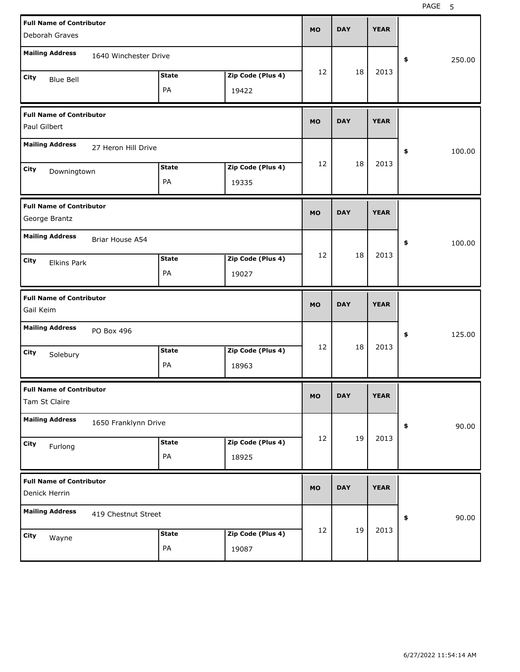| <b>Full Name of Contributor</b>                  |              |                   | <b>MO</b> | <b>DAY</b> | <b>YEAR</b> |              |
|--------------------------------------------------|--------------|-------------------|-----------|------------|-------------|--------------|
| Deborah Graves                                   |              |                   |           |            |             |              |
| <b>Mailing Address</b><br>1640 Winchester Drive  |              |                   |           |            |             | 250.00<br>\$ |
| City<br><b>Blue Bell</b>                         | <b>State</b> | Zip Code (Plus 4) | 12        | 18         | 2013        |              |
|                                                  | PA           | 19422             |           |            |             |              |
| <b>Full Name of Contributor</b><br>Paul Gilbert  |              |                   | <b>MO</b> | <b>DAY</b> | <b>YEAR</b> |              |
| <b>Mailing Address</b><br>27 Heron Hill Drive    |              |                   |           |            |             | 100.00<br>\$ |
| City                                             | <b>State</b> | Zip Code (Plus 4) | 12        | 18         | 2013        |              |
| Downingtown                                      | PA           | 19335             |           |            |             |              |
| <b>Full Name of Contributor</b><br>George Brantz |              |                   | <b>MO</b> | <b>DAY</b> | <b>YEAR</b> |              |
| <b>Mailing Address</b><br>Briar House A54        |              |                   |           |            |             | 100.00<br>\$ |
| City<br><b>Elkins Park</b>                       | <b>State</b> | Zip Code (Plus 4) | 12        | 18         | 2013        |              |
|                                                  | PA           | 19027             |           |            |             |              |
|                                                  |              |                   |           |            |             |              |
| <b>Full Name of Contributor</b><br>Gail Keim     |              |                   | <b>MO</b> | <b>DAY</b> | <b>YEAR</b> |              |
| <b>Mailing Address</b><br>PO Box 496             |              |                   |           |            |             | 125.00<br>\$ |
| City                                             | <b>State</b> | Zip Code (Plus 4) | 12        | 18         | 2013        |              |
| Solebury                                         | PA           | 18963             |           |            |             |              |
| <b>Full Name of Contributor</b><br>Tam St Claire |              |                   | <b>MO</b> | <b>DAY</b> | <b>YEAR</b> |              |
| <b>Mailing Address</b><br>1650 Franklynn Drive   |              |                   |           |            |             | 90.00<br>\$  |
| City                                             | <b>State</b> | Zip Code (Plus 4) | 12        | 19         | 2013        |              |
| Furlong                                          | PA           | 18925             |           |            |             |              |
| <b>Full Name of Contributor</b><br>Denick Herrin |              |                   | <b>MO</b> | <b>DAY</b> | <b>YEAR</b> |              |
| <b>Mailing Address</b><br>419 Chestnut Street    |              |                   |           |            |             | 90.00<br>\$  |
| City<br>Wayne                                    | <b>State</b> | Zip Code (Plus 4) | 12        | 19         | 2013        |              |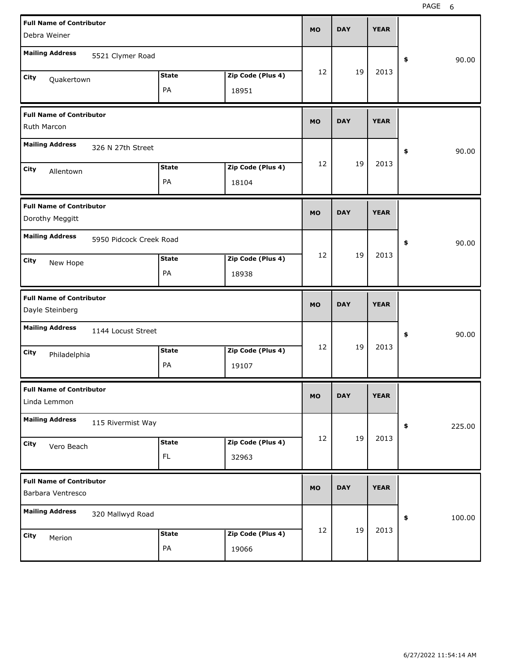| <b>Full Name of Contributor</b><br>Debra Weiner      |                           |                            | <b>MO</b> | <b>DAY</b> | <b>YEAR</b> |              |
|------------------------------------------------------|---------------------------|----------------------------|-----------|------------|-------------|--------------|
| <b>Mailing Address</b><br>5521 Clymer Road           |                           |                            |           |            |             | \$<br>90.00  |
| City<br>Quakertown                                   | <b>State</b><br>PA        | Zip Code (Plus 4)<br>18951 | 12        | 19         | 2013        |              |
| <b>Full Name of Contributor</b><br>Ruth Marcon       |                           |                            | <b>MO</b> | <b>DAY</b> | <b>YEAR</b> |              |
| <b>Mailing Address</b><br>326 N 27th Street          |                           |                            |           |            |             | \$<br>90.00  |
| City<br>Allentown                                    | <b>State</b><br>PA        | Zip Code (Plus 4)<br>18104 | 12        | 19         | 2013        |              |
| <b>Full Name of Contributor</b><br>Dorothy Meggitt   |                           |                            | <b>MO</b> | <b>DAY</b> | <b>YEAR</b> |              |
| <b>Mailing Address</b><br>5950 Pidcock Creek Road    |                           |                            |           |            |             | \$<br>90.00  |
| City<br>New Hope                                     | <b>State</b><br>PA        | Zip Code (Plus 4)<br>18938 | 12        | 19         | 2013        |              |
|                                                      |                           |                            |           |            |             |              |
| <b>Full Name of Contributor</b><br>Dayle Steinberg   |                           |                            | <b>MO</b> | <b>DAY</b> | <b>YEAR</b> |              |
| <b>Mailing Address</b><br>1144 Locust Street         |                           |                            |           |            |             | \$<br>90.00  |
| City<br>Philadelphia                                 | <b>State</b><br>PA        | Zip Code (Plus 4)<br>19107 | 12        | 19         | 2013        |              |
| <b>Full Name of Contributor</b><br>Linda Lemmon      |                           |                            | <b>MO</b> | <b>DAY</b> | <b>YEAR</b> |              |
| <b>Mailing Address</b><br>115 Rivermist Way          |                           |                            |           |            |             | 225.00<br>\$ |
| City<br>Vero Beach                                   | <b>State</b><br><b>FL</b> | Zip Code (Plus 4)<br>32963 | 12        | 19         | 2013        |              |
| <b>Full Name of Contributor</b><br>Barbara Ventresco |                           |                            | <b>MO</b> | <b>DAY</b> | <b>YEAR</b> |              |
| <b>Mailing Address</b><br>320 Mallwyd Road           |                           |                            |           | 19         | 2013        | 100.00<br>\$ |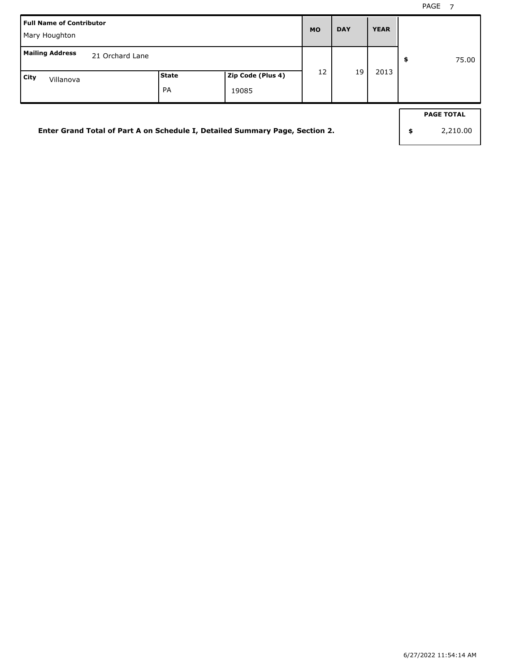| <b>Full Name of Contributor</b><br>Mary Houghton                             |             |                            | <b>MO</b> | <b>DAY</b> | <b>YEAR</b> |                                     |
|------------------------------------------------------------------------------|-------------|----------------------------|-----------|------------|-------------|-------------------------------------|
| <b>Mailing Address</b><br>21 Orchard Lane                                    |             |                            |           |            |             | \$<br>75.00                         |
| City<br>Villanova                                                            | State<br>PA | Zip Code (Plus 4)<br>19085 | 12        | 19         | 2013        |                                     |
|                                                                              |             |                            |           |            |             |                                     |
| Enter Grand Total of Part A on Schedule I, Detailed Summary Page, Section 2. |             |                            |           |            |             | \$<br><b>PAGE TOTAL</b><br>2,210.00 |
|                                                                              |             |                            |           |            |             |                                     |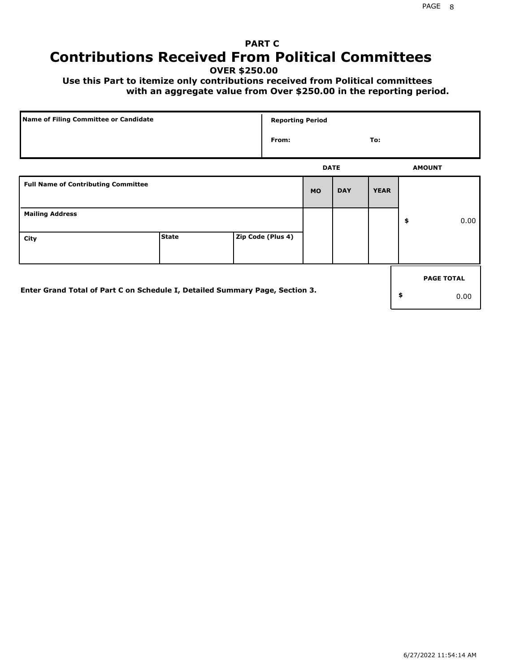# **PART C Contributions Received From Political Committees**

**OVER \$250.00**

 **Use this Part to itemize only contributions received from Political committees with an aggregate value from Over \$250.00 in the reporting period.**

| Name of Filing Committee or Candidate                                        |              |  | <b>Reporting Period</b> |           |             |             |    |                   |
|------------------------------------------------------------------------------|--------------|--|-------------------------|-----------|-------------|-------------|----|-------------------|
|                                                                              |              |  | From:                   |           |             | To:         |    |                   |
|                                                                              |              |  |                         |           | <b>DATE</b> |             |    | <b>AMOUNT</b>     |
| <b>Full Name of Contributing Committee</b>                                   |              |  |                         | <b>MO</b> | <b>DAY</b>  | <b>YEAR</b> |    |                   |
| <b>Mailing Address</b>                                                       |              |  |                         |           |             |             | \$ | 0.00              |
| City                                                                         | <b>State</b> |  | Zip Code (Plus 4)       |           |             |             |    |                   |
|                                                                              |              |  |                         |           |             |             |    | <b>PAGE TOTAL</b> |
| Enter Grand Total of Part C on Schedule I, Detailed Summary Page, Section 3. |              |  |                         |           |             |             | \$ | 0.00              |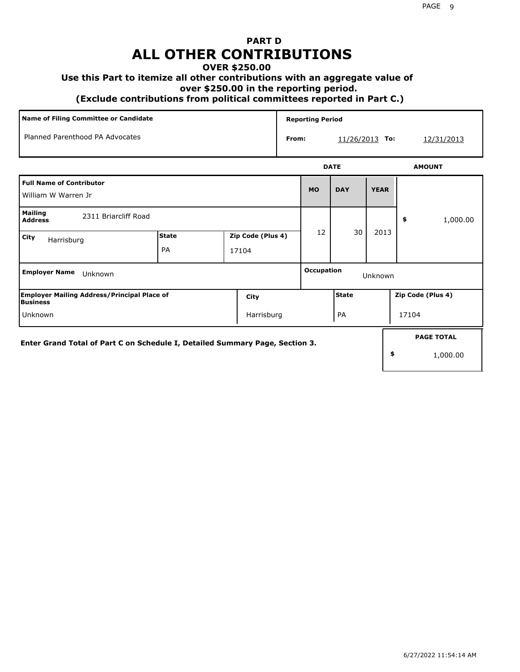# **PART D ALL OTHER CONTRIBUTIONS**

### **OVER \$250.00**

### **Use this Part to itemize all other contributions with an aggregate value of**

 **over \$250.00 in the reporting period.**

 **(Exclude contributions from political committees reported in Part C.)** 

| Name of Filing Committee or Candidate                    |                    |                            | <b>Reporting Period</b> |            |             |             |                |  |
|----------------------------------------------------------|--------------------|----------------------------|-------------------------|------------|-------------|-------------|----------------|--|
| Planned Parenthood PA Advocates<br>From:                 |                    |                            |                         | 11/26/2013 | To:         | 12/31/2013  |                |  |
|                                                          |                    |                            |                         |            | <b>DATE</b> |             | <b>AMOUNT</b>  |  |
| <b>Full Name of Contributor</b><br>William W Warren Jr   |                    |                            |                         | <b>MO</b>  | <b>DAY</b>  | <b>YEAR</b> |                |  |
| <b>Mailing</b><br>2311 Briarcliff Road<br><b>Address</b> |                    |                            |                         |            |             |             | \$<br>1,000.00 |  |
| City<br>Harrisburg                                       | <b>State</b><br>PA | Zip Code (Plus 4)<br>17104 |                         | 12         | 30          | 2013        |                |  |

| <b>Employer Name</b><br>Unknown                                              |            |  | <b>Occupation</b><br>Unknown |                   |                   |  |  |
|------------------------------------------------------------------------------|------------|--|------------------------------|-------------------|-------------------|--|--|
| <b>Employer Mailing Address/Principal Place of</b><br>lBusiness              | City       |  | l State                      | Zip Code (Plus 4) |                   |  |  |
| <b>Unknown</b>                                                               | Harrisburg |  | PA                           | 17104             |                   |  |  |
| Enter Grand Total of Part C on Schedule I, Detailed Summary Page, Section 3. |            |  |                              |                   | <b>PAGE TOTAL</b> |  |  |
|                                                                              |            |  |                              | \$                | 1,000.00          |  |  |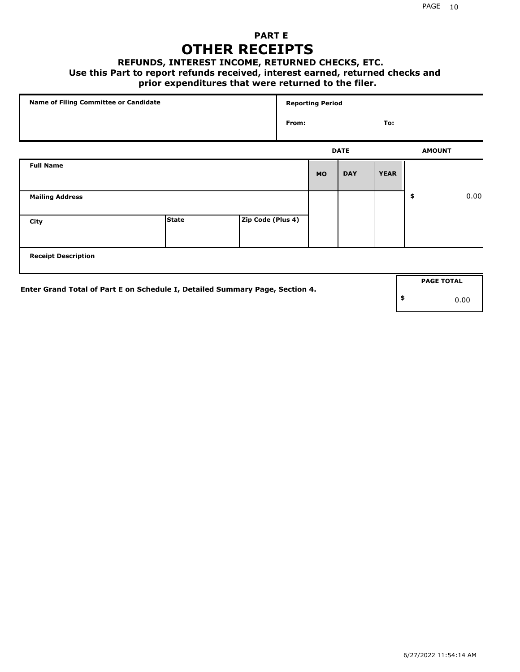### **PART E OTHER RECEIPTS**

### **REFUNDS, INTEREST INCOME, RETURNED CHECKS, ETC.**

### **Use this Part to report refunds received, interest earned, returned checks and**

### **prior expenditures that were returned to the filer.**

| Name of Filing Committee or Candidate                                        |              |                   | <b>Reporting Period</b> |           |             |             |    |                   |      |
|------------------------------------------------------------------------------|--------------|-------------------|-------------------------|-----------|-------------|-------------|----|-------------------|------|
|                                                                              |              |                   | From:                   |           |             | To:         |    |                   |      |
|                                                                              |              |                   |                         |           | <b>DATE</b> |             |    | <b>AMOUNT</b>     |      |
| <b>Full Name</b>                                                             |              |                   |                         | <b>MO</b> | <b>DAY</b>  | <b>YEAR</b> |    |                   |      |
| <b>Mailing Address</b>                                                       |              |                   |                         |           |             |             | \$ |                   | 0.00 |
| City                                                                         | <b>State</b> | Zip Code (Plus 4) |                         |           |             |             |    |                   |      |
| <b>Receipt Description</b>                                                   |              |                   |                         |           |             |             |    |                   |      |
| Enter Grand Total of Part E on Schedule I, Detailed Summary Page, Section 4. |              |                   |                         |           |             |             |    | <b>PAGE TOTAL</b> |      |
|                                                                              |              |                   |                         |           |             |             | \$ |                   | 0.00 |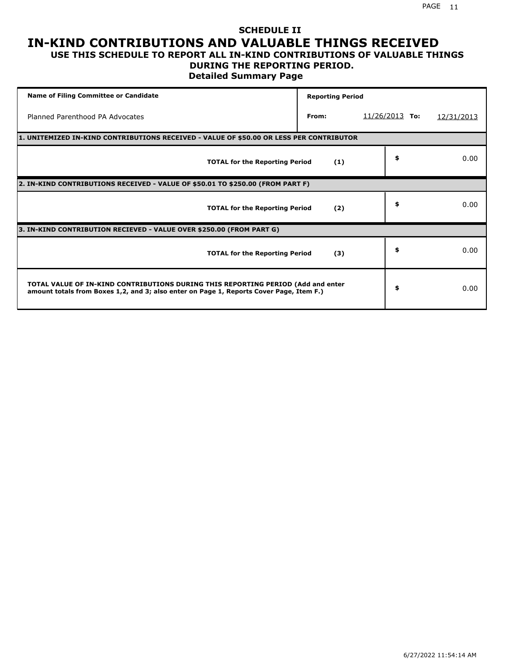### **SCHEDULE II IN-KIND CONTRIBUTIONS AND VALUABLE THINGS RECEIVED USE THIS SCHEDULE TO REPORT ALL IN-KIND CONTRIBUTIONS OF VALUABLE THINGS**

# **DURING THE REPORTING PERIOD.**

**Detailed Summary Page**

| <b>Name of Filing Committee or Candidate</b>                                                                                                                                | <b>Reporting Period</b> |                  |            |
|-----------------------------------------------------------------------------------------------------------------------------------------------------------------------------|-------------------------|------------------|------------|
| Planned Parenthood PA Advocates                                                                                                                                             | From:                   | $11/26/2013$ To: | 12/31/2013 |
| 1. UNITEMIZED IN-KIND CONTRIBUTIONS RECEIVED - VALUE OF \$50.00 OR LESS PER CONTRIBUTOR                                                                                     |                         |                  |            |
| <b>TOTAL for the Reporting Period</b>                                                                                                                                       | (1)                     | \$               | 0.00       |
| 2. IN-KIND CONTRIBUTIONS RECEIVED - VALUE OF \$50.01 TO \$250.00 (FROM PART F)                                                                                              |                         |                  |            |
| <b>TOTAL for the Reporting Period</b>                                                                                                                                       | (2)                     | \$               | 0.00       |
| 3. IN-KIND CONTRIBUTION RECIEVED - VALUE OVER \$250.00 (FROM PART G)                                                                                                        |                         |                  |            |
| <b>TOTAL for the Reporting Period</b>                                                                                                                                       | (3)                     | \$               | 0.00       |
| TOTAL VALUE OF IN-KIND CONTRIBUTIONS DURING THIS REPORTING PERIOD (Add and enter<br>amount totals from Boxes 1,2, and 3; also enter on Page 1, Reports Cover Page, Item F.) |                         | \$               | 0.00       |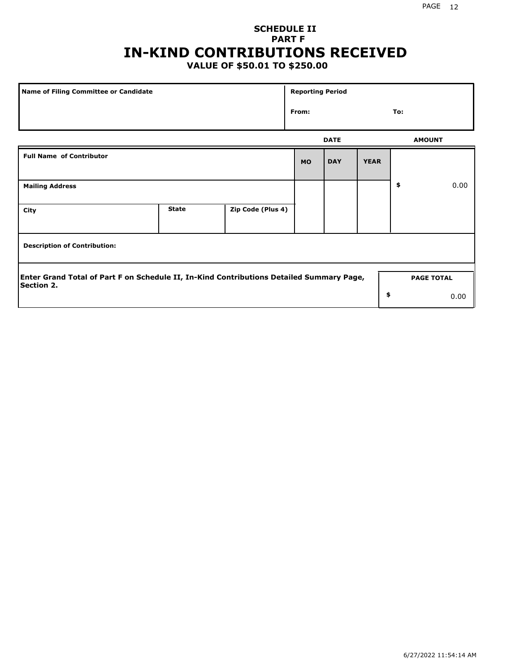# **SCHEDULE II PART F IN-KIND CONTRIBUTIONS RECEIVED**

## **VALUE OF \$50.01 TO \$250.00**

| Name of Filing Committee or Candidate                                                                                              |              |                   | <b>Reporting Period</b> |             |             |               |      |  |
|------------------------------------------------------------------------------------------------------------------------------------|--------------|-------------------|-------------------------|-------------|-------------|---------------|------|--|
|                                                                                                                                    |              |                   | From:                   |             |             | To:           |      |  |
|                                                                                                                                    |              |                   |                         | <b>DATE</b> |             | <b>AMOUNT</b> |      |  |
| <b>Full Name of Contributor</b>                                                                                                    |              |                   | <b>MO</b>               | <b>DAY</b>  | <b>YEAR</b> |               |      |  |
| <b>Mailing Address</b>                                                                                                             |              |                   |                         |             |             | \$            | 0.00 |  |
| City                                                                                                                               | <b>State</b> | Zip Code (Plus 4) |                         |             |             |               |      |  |
| <b>Description of Contribution:</b>                                                                                                |              |                   |                         |             |             |               |      |  |
| Enter Grand Total of Part F on Schedule II, In-Kind Contributions Detailed Summary Page,<br><b>PAGE TOTAL</b><br><b>Section 2.</b> |              |                   |                         |             |             |               |      |  |
|                                                                                                                                    |              |                   |                         |             | \$          |               | 0.00 |  |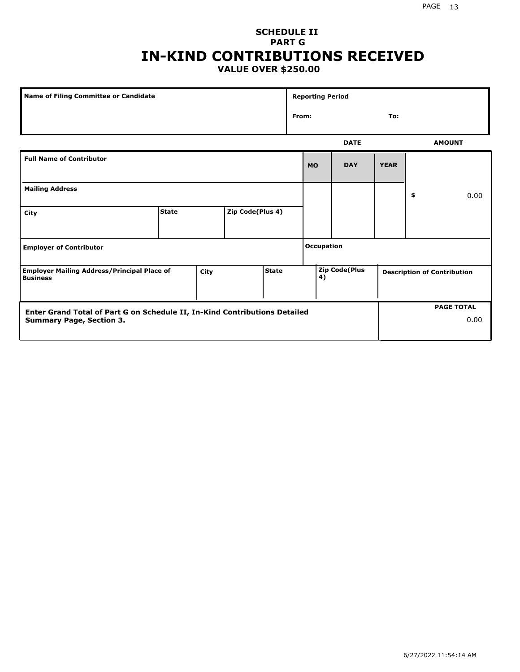### PAGE 13

### **SCHEDULE II PART G IN-KIND CONTRIBUTIONS RECEIVED VALUE OVER \$250.00**

| <b>Name of Filing Committee or Candidate</b>                                                                  |              |  | <b>Reporting Period</b> |              |           |                            |             |                                    |      |                           |
|---------------------------------------------------------------------------------------------------------------|--------------|--|-------------------------|--------------|-----------|----------------------------|-------------|------------------------------------|------|---------------------------|
|                                                                                                               |              |  |                         | From:        |           |                            | To:         |                                    |      |                           |
|                                                                                                               |              |  |                         |              |           |                            | <b>DATE</b> |                                    |      | <b>AMOUNT</b>             |
| <b>Full Name of Contributor</b>                                                                               |              |  |                         |              | <b>MO</b> | <b>DAY</b>                 | <b>YEAR</b> |                                    |      |                           |
| <b>Mailing Address</b>                                                                                        |              |  |                         |              |           |                            |             | \$                                 | 0.00 |                           |
| City                                                                                                          | <b>State</b> |  | Zip Code(Plus 4)        |              |           |                            |             |                                    |      |                           |
| <b>Employer of Contributor</b>                                                                                |              |  |                         |              |           | Occupation                 |             |                                    |      |                           |
| <b>Employer Mailing Address/Principal Place of</b><br>City<br><b>Business</b>                                 |              |  |                         | <b>State</b> |           | <b>Zip Code(Plus</b><br>4) |             | <b>Description of Contribution</b> |      |                           |
| Enter Grand Total of Part G on Schedule II, In-Kind Contributions Detailed<br><b>Summary Page, Section 3.</b> |              |  |                         |              |           |                            |             |                                    |      | <b>PAGE TOTAL</b><br>0.00 |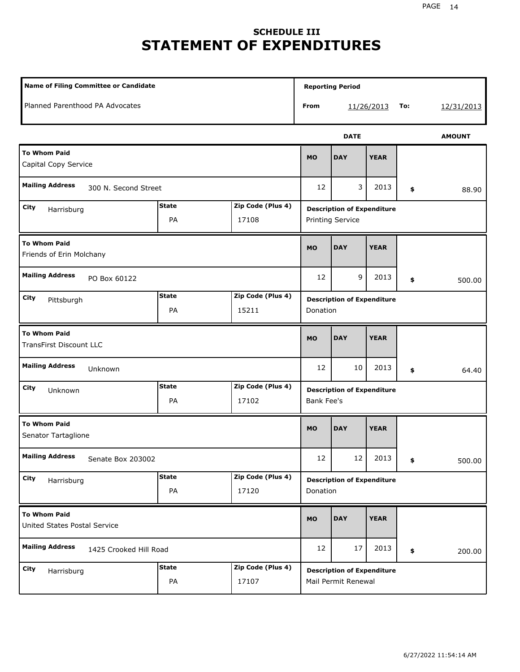# **SCHEDULE III STATEMENT OF EXPENDITURES**

| <b>Name of Filing Committee or Candidate</b>          |                                                  |                            | <b>Reporting Period</b>                                  |             |                                                              |     |            |  |  |
|-------------------------------------------------------|--------------------------------------------------|----------------------------|----------------------------------------------------------|-------------|--------------------------------------------------------------|-----|------------|--|--|
| Planned Parenthood PA Advocates                       |                                                  |                            | From                                                     |             | 11/26/2013                                                   | To: | 12/31/2013 |  |  |
|                                                       |                                                  |                            |                                                          | <b>DATE</b> |                                                              |     |            |  |  |
| <b>To Whom Paid</b><br>Capital Copy Service           | <b>MO</b>                                        | <b>DAY</b>                 | <b>YEAR</b>                                              |             |                                                              |     |            |  |  |
| <b>Mailing Address</b><br>300 N. Second Street        |                                                  |                            |                                                          | 3           | 2013                                                         | \$  | 88.90      |  |  |
| City<br>Harrisburg                                    | <b>State</b><br>Zip Code (Plus 4)<br>PA<br>17108 |                            |                                                          |             | <b>Description of Expenditure</b><br><b>Printing Service</b> |     |            |  |  |
| <b>To Whom Paid</b><br>Friends of Erin Molchany       |                                                  |                            |                                                          | <b>DAY</b>  | <b>YEAR</b>                                                  |     |            |  |  |
| <b>Mailing Address</b><br>PO Box 60122                | 12                                               | 9                          | 2013                                                     | \$          | 500.00                                                       |     |            |  |  |
| City<br>Pittsburgh                                    | <b>State</b><br>PA                               | Zip Code (Plus 4)<br>15211 | <b>Description of Expenditure</b><br>Donation            |             |                                                              |     |            |  |  |
| <b>To Whom Paid</b><br><b>TransFirst Discount LLC</b> |                                                  |                            |                                                          | <b>DAY</b>  | <b>YEAR</b>                                                  |     |            |  |  |
| <b>Mailing Address</b><br>Unknown                     |                                                  |                            | 12                                                       | 10          | 2013                                                         | \$  | 64.40      |  |  |
| City<br>Unknown                                       | <b>State</b><br>PA                               | Zip Code (Plus 4)<br>17102 | <b>Description of Expenditure</b><br>Bank Fee's          |             |                                                              |     |            |  |  |
| <b>To Whom Paid</b><br>Senator Tartaglione            | <b>MO</b>                                        | <b>DAY</b>                 | <b>YEAR</b>                                              |             |                                                              |     |            |  |  |
| <b>Mailing Address</b><br>Senate Box 203002           |                                                  |                            | 12                                                       | 12          | 2013                                                         | \$  | 500.00     |  |  |
| City<br>Harrisburg                                    | <b>State</b><br>PA                               | Zip Code (Plus 4)<br>17120 | <b>Description of Expenditure</b><br>Donation            |             |                                                              |     |            |  |  |
| <b>To Whom Paid</b><br>United States Postal Service   |                                                  |                            | <b>MO</b>                                                | <b>DAY</b>  | <b>YEAR</b>                                                  |     |            |  |  |
| <b>Mailing Address</b><br>1425 Crooked Hill Road      |                                                  |                            | 12                                                       | 17          | 2013                                                         | \$  | 200.00     |  |  |
| City<br>Harrisburg                                    | <b>State</b><br>PA                               | Zip Code (Plus 4)<br>17107 | <b>Description of Expenditure</b><br>Mail Permit Renewal |             |                                                              |     |            |  |  |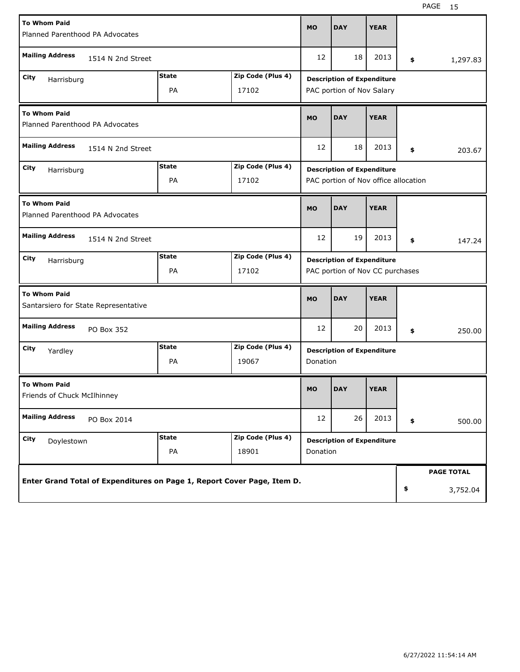| <b>To Whom Paid</b><br>Planned Parenthood PA Advocates                  |                   |                    |                            | <b>MO</b>                                                                 | <b>DAY</b>                                                           | <b>YEAR</b> |    |                               |
|-------------------------------------------------------------------------|-------------------|--------------------|----------------------------|---------------------------------------------------------------------------|----------------------------------------------------------------------|-------------|----|-------------------------------|
| <b>Mailing Address</b>                                                  | 1514 N 2nd Street |                    |                            | 12                                                                        | 18                                                                   | 2013        | \$ | 1,297.83                      |
| <b>State</b><br>Zip Code (Plus 4)<br>City<br>Harrisburg<br>PA<br>17102  |                   |                    |                            | <b>Description of Expenditure</b><br>PAC portion of Nov Salary            |                                                                      |             |    |                               |
| <b>To Whom Paid</b><br>Planned Parenthood PA Advocates                  |                   |                    |                            | <b>MO</b>                                                                 | <b>DAY</b>                                                           | <b>YEAR</b> |    |                               |
| <b>Mailing Address</b><br>1514 N 2nd Street                             |                   |                    |                            |                                                                           | 18                                                                   | 2013        | \$ | 203.67                        |
| <b>State</b><br>Zip Code (Plus 4)<br>City<br>Harrisburg<br>PA<br>17102  |                   |                    |                            | <b>Description of Expenditure</b><br>PAC portion of Nov office allocation |                                                                      |             |    |                               |
| <b>To Whom Paid</b><br>Planned Parenthood PA Advocates                  |                   |                    |                            | <b>MO</b>                                                                 | <b>DAY</b>                                                           | <b>YEAR</b> |    |                               |
| <b>Mailing Address</b><br>1514 N 2nd Street                             |                   |                    |                            | 12                                                                        | 19                                                                   | 2013        | \$ | 147.24                        |
| City<br>Harrisburg                                                      |                   | <b>State</b><br>PA | Zip Code (Plus 4)<br>17102 |                                                                           | <b>Description of Expenditure</b><br>PAC portion of Nov CC purchases |             |    |                               |
| <b>To Whom Paid</b><br>Santarsiero for State Representative             |                   |                    |                            | <b>MO</b>                                                                 | <b>DAY</b>                                                           | <b>YEAR</b> |    |                               |
| <b>Mailing Address</b><br>PO Box 352                                    |                   |                    |                            | 12                                                                        | 20                                                                   | 2013        | \$ | 250.00                        |
| City<br>Yardley                                                         |                   | <b>State</b><br>PA | Zip Code (Plus 4)<br>19067 | Donation                                                                  | <b>Description of Expenditure</b>                                    |             |    |                               |
| <b>To Whom Paid</b><br>Friends of Chuck McIlhinney                      |                   |                    |                            | <b>MO</b>                                                                 | <b>DAY</b>                                                           | <b>YEAR</b> |    |                               |
| <b>Mailing Address</b><br>PO Box 2014                                   |                   |                    |                            | 12                                                                        | 26                                                                   | 2013        | \$ | 500.00                        |
| City<br>Doylestown                                                      |                   | <b>State</b><br>PA | Zip Code (Plus 4)<br>18901 | <b>Description of Expenditure</b><br>Donation                             |                                                                      |             |    |                               |
| Enter Grand Total of Expenditures on Page 1, Report Cover Page, Item D. |                   |                    |                            |                                                                           |                                                                      |             | \$ | <b>PAGE TOTAL</b><br>3,752.04 |